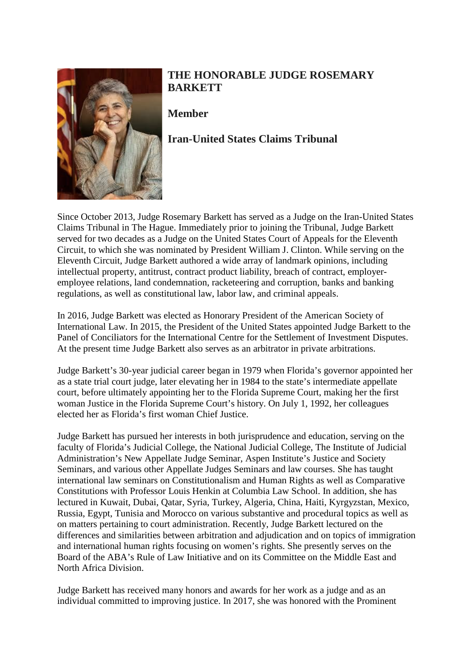

## **THE HONORABLE JUDGE ROSEMARY BARKETT**

**Member**

## **Iran-United States Claims Tribunal**

Since October 2013, Judge Rosemary Barkett has served as a Judge on the Iran-United States Claims Tribunal in The Hague. Immediately prior to joining the Tribunal, Judge Barkett served for two decades as a Judge on the United States Court of Appeals for the Eleventh Circuit, to which she was nominated by President William J. Clinton. While serving on the Eleventh Circuit, Judge Barkett authored a wide array of landmark opinions, including intellectual property, antitrust, contract product liability, breach of contract, employeremployee relations, land condemnation, racketeering and corruption, banks and banking regulations, as well as constitutional law, labor law, and criminal appeals.

In 2016, Judge Barkett was elected as Honorary President of the American Society of International Law. In 2015, the President of the United States appointed Judge Barkett to the Panel of Conciliators for the International Centre for the Settlement of Investment Disputes. At the present time Judge Barkett also serves as an arbitrator in private arbitrations.

Judge Barkett's 30-year judicial career began in 1979 when Florida's governor appointed her as a state trial court judge, later elevating her in 1984 to the state's intermediate appellate court, before ultimately appointing her to the Florida Supreme Court, making her the first woman Justice in the Florida Supreme Court's history. On July 1, 1992, her colleagues elected her as Florida's first woman Chief Justice.

Judge Barkett has pursued her interests in both jurisprudence and education, serving on the faculty of Florida's Judicial College, the National Judicial College, The Institute of Judicial Administration's New Appellate Judge Seminar, Aspen Institute's Justice and Society Seminars, and various other Appellate Judges Seminars and law courses. She has taught international law seminars on Constitutionalism and Human Rights as well as Comparative Constitutions with Professor Louis Henkin at Columbia Law School. In addition, she has lectured in Kuwait, Dubai, Qatar, Syria, Turkey, Algeria, China, Haiti, Kyrgyzstan, Mexico, Russia, Egypt, Tunisia and Morocco on various substantive and procedural topics as well as on matters pertaining to court administration. Recently, Judge Barkett lectured on the differences and similarities between arbitration and adjudication and on topics of immigration and international human rights focusing on women's rights. She presently serves on the Board of the ABA's Rule of Law Initiative and on its Committee on the Middle East and North Africa Division.

Judge Barkett has received many honors and awards for her work as a judge and as an individual committed to improving justice. In 2017, she was honored with the Prominent